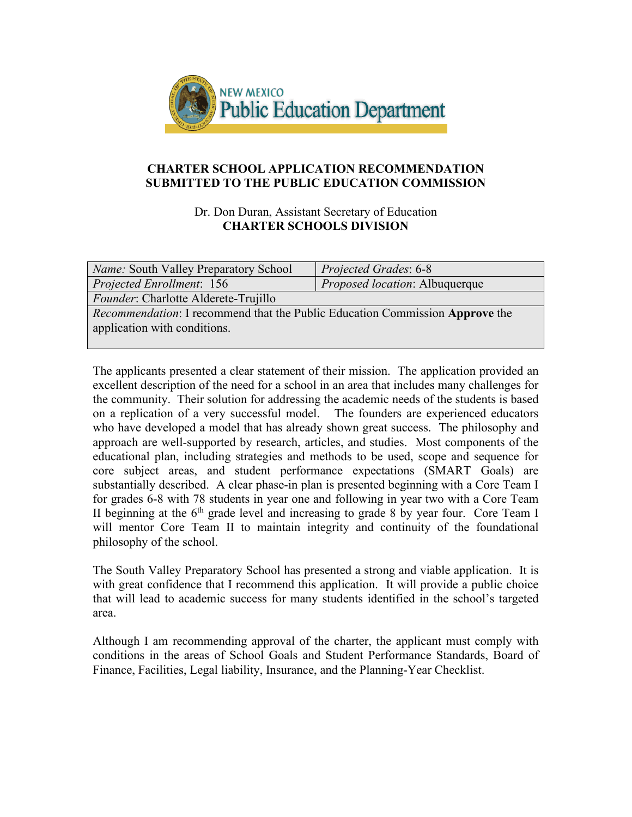

### **CHARTER SCHOOL APPLICATION RECOMMENDATION SUBMITTED TO THE PUBLIC EDUCATION COMMISSION**

Dr. Don Duran, Assistant Secretary of Education **CHARTER SCHOOLS DIVISION**

| <i>Name:</i> South Valley Preparatory School                                                                               | Projected Grades: 6-8          |
|----------------------------------------------------------------------------------------------------------------------------|--------------------------------|
| <i>Projected Enrollment:</i> 156                                                                                           | Proposed location: Albuquerque |
| Founder: Charlotte Alderete-Trujillo                                                                                       |                                |
| <i>Recommendation:</i> I recommend that the Public Education Commission <b>Approve</b> the<br>application with conditions. |                                |

The applicants presented a clear statement of their mission. The application provided an excellent description of the need for a school in an area that includes many challenges for the community. Their solution for addressing the academic needs of the students is based on a replication of a very successful model. The founders are experienced educators who have developed a model that has already shown great success. The philosophy and approach are well-supported by research, articles, and studies. Most components of the educational plan, including strategies and methods to be used, scope and sequence for core subject areas, and student performance expectations (SMART Goals) are substantially described. A clear phase-in plan is presented beginning with a Core Team I for grades 6-8 with 78 students in year one and following in year two with a Core Team II beginning at the  $6<sup>th</sup>$  grade level and increasing to grade 8 by year four. Core Team I will mentor Core Team II to maintain integrity and continuity of the foundational philosophy of the school.

The South Valley Preparatory School has presented a strong and viable application. It is with great confidence that I recommend this application. It will provide a public choice that will lead to academic success for many students identified in the school's targeted area.

Although I am recommending approval of the charter, the applicant must comply with conditions in the areas of School Goals and Student Performance Standards, Board of Finance, Facilities, Legal liability, Insurance, and the Planning-Year Checklist.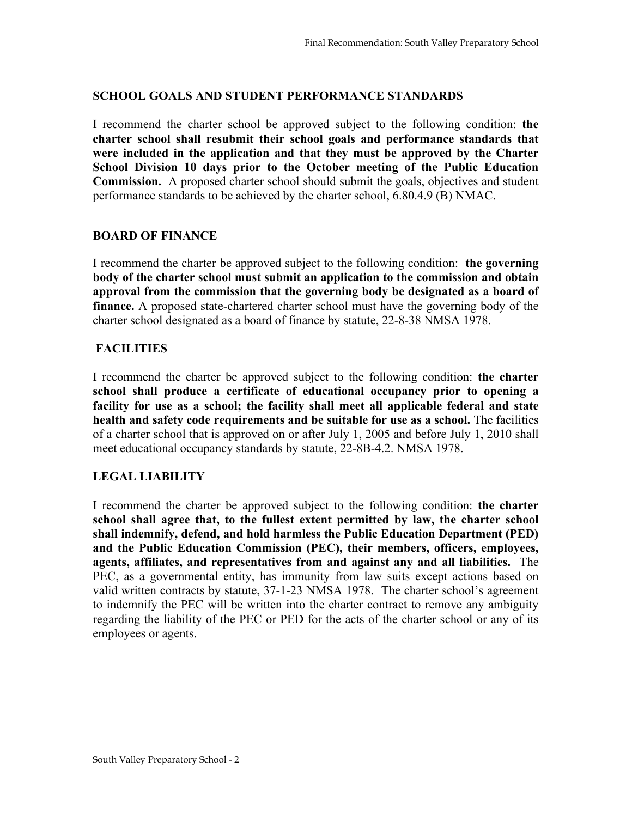## **SCHOOL GOALS AND STUDENT PERFORMANCE STANDARDS**

I recommend the charter school be approved subject to the following condition: **the charter school shall resubmit their school goals and performance standards that were included in the application and that they must be approved by the Charter School Division 10 days prior to the October meeting of the Public Education Commission.** A proposed charter school should submit the goals, objectives and student performance standards to be achieved by the charter school, 6.80.4.9 (B) NMAC.

#### **BOARD OF FINANCE**

I recommend the charter be approved subject to the following condition: **the governing body of the charter school must submit an application to the commission and obtain approval from the commission that the governing body be designated as a board of finance.** A proposed state-chartered charter school must have the governing body of the charter school designated as a board of finance by statute, 22-8-38 NMSA 1978.

## **FACILITIES**

I recommend the charter be approved subject to the following condition: **the charter school shall produce a certificate of educational occupancy prior to opening a facility for use as a school; the facility shall meet all applicable federal and state health and safety code requirements and be suitable for use as a school.** The facilities of a charter school that is approved on or after July 1, 2005 and before July 1, 2010 shall meet educational occupancy standards by statute, 22-8B-4.2. NMSA 1978.

# **LEGAL LIABILITY**

I recommend the charter be approved subject to the following condition: **the charter school shall agree that, to the fullest extent permitted by law, the charter school shall indemnify, defend, and hold harmless the Public Education Department (PED) and the Public Education Commission (PEC), their members, officers, employees, agents, affiliates, and representatives from and against any and all liabilities.** The PEC, as a governmental entity, has immunity from law suits except actions based on valid written contracts by statute, 37-1-23 NMSA 1978. The charter school's agreement to indemnify the PEC will be written into the charter contract to remove any ambiguity regarding the liability of the PEC or PED for the acts of the charter school or any of its employees or agents.